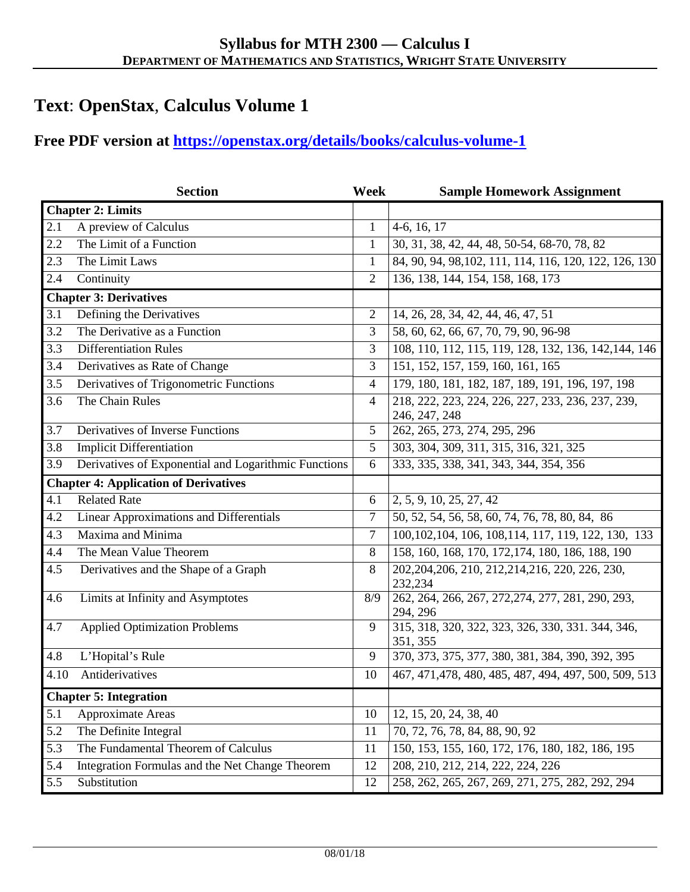## **Text**: **OpenStax**, **Calculus Volume 1**

## **Free PDF version at<https://openstax.org/details/books/calculus-volume-1>**

|                                              | <b>Section</b>                                       | Week           | <b>Sample Homework Assignment</b>                             |
|----------------------------------------------|------------------------------------------------------|----------------|---------------------------------------------------------------|
| <b>Chapter 2: Limits</b>                     |                                                      |                |                                                               |
| 2.1                                          | A preview of Calculus                                | $\mathbf{1}$   | $4-6, 16, 17$                                                 |
| 2.2                                          | The Limit of a Function                              | $\mathbf{1}$   | 30, 31, 38, 42, 44, 48, 50-54, 68-70, 78, 82                  |
| 2.3                                          | The Limit Laws                                       | $\mathbf{1}$   | 84, 90, 94, 98, 102, 111, 114, 116, 120, 122, 126, 130        |
| 2.4                                          | Continuity                                           | $\overline{2}$ | 136, 138, 144, 154, 158, 168, 173                             |
| <b>Chapter 3: Derivatives</b>                |                                                      |                |                                                               |
| 3.1                                          | Defining the Derivatives                             | $\overline{2}$ | 14, 26, 28, 34, 42, 44, 46, 47, 51                            |
| $\overline{3.2}$                             | The Derivative as a Function                         | 3              | 58, 60, 62, 66, 67, 70, 79, 90, 96-98                         |
| 3.3                                          | <b>Differentiation Rules</b>                         | 3              | 108, 110, 112, 115, 119, 128, 132, 136, 142, 144, 146         |
| 3.4                                          | Derivatives as Rate of Change                        | 3              | 151, 152, 157, 159, 160, 161, 165                             |
| 3.5                                          | Derivatives of Trigonometric Functions               | 4              | 179, 180, 181, 182, 187, 189, 191, 196, 197, 198              |
| 3.6                                          | The Chain Rules                                      | $\overline{4}$ | 218, 222, 223, 224, 226, 227, 233, 236, 237, 239,             |
|                                              |                                                      |                | 246, 247, 248                                                 |
| 3.7                                          | Derivatives of Inverse Functions                     | 5              | 262, 265, 273, 274, 295, 296                                  |
| 3.8                                          | <b>Implicit Differentiation</b>                      | 5              | 303, 304, 309, 311, 315, 316, 321, 325                        |
| 3.9                                          | Derivatives of Exponential and Logarithmic Functions | 6              | 333, 335, 338, 341, 343, 344, 354, 356                        |
| <b>Chapter 4: Application of Derivatives</b> |                                                      |                |                                                               |
| 4.1                                          | <b>Related Rate</b>                                  | 6              | 2, 5, 9, 10, 25, 27, 42                                       |
| 4.2                                          | <b>Linear Approximations and Differentials</b>       | 7              | 50, 52, 54, 56, 58, 60, 74, 76, 78, 80, 84, 86                |
| 4.3                                          | Maxima and Minima                                    | $\overline{7}$ | 100, 102, 104, 106, 108, 114, 117, 119, 122, 130, 133         |
| 4.4                                          | The Mean Value Theorem                               | 8              | 158, 160, 168, 170, 172, 174, 180, 186, 188, 190              |
| 4.5                                          | Derivatives and the Shape of a Graph                 | 8              | 202, 204, 206, 210, 212, 214, 216, 220, 226, 230,<br>232,234  |
| 4.6                                          | Limits at Infinity and Asymptotes                    | 8/9            | 262, 264, 266, 267, 272, 274, 277, 281, 290, 293,             |
|                                              |                                                      |                | 294, 296                                                      |
| 4.7                                          | <b>Applied Optimization Problems</b>                 | 9              | 315, 318, 320, 322, 323, 326, 330, 331, 344, 346,<br>351, 355 |
| 4.8                                          | L'Hopital's Rule                                     | 9              | 370, 373, 375, 377, 380, 381, 384, 390, 392, 395              |
| 4.10                                         | Antiderivatives                                      | 10             | 467, 471, 478, 480, 485, 487, 494, 497, 500, 509, 513         |
| <b>Chapter 5: Integration</b>                |                                                      |                |                                                               |
| 5.1                                          | Approximate Areas                                    | 10             | 12, 15, 20, 24, 38, 40                                        |
| 5.2                                          | The Definite Integral                                | 11             | 70, 72, 76, 78, 84, 88, 90, 92                                |
| 5.3                                          | The Fundamental Theorem of Calculus                  | 11             | 150, 153, 155, 160, 172, 176, 180, 182, 186, 195              |
| 5.4                                          | Integration Formulas and the Net Change Theorem      | 12             | 208, 210, 212, 214, 222, 224, 226                             |
| 5.5                                          | Substitution                                         | 12             | 258, 262, 265, 267, 269, 271, 275, 282, 292, 294              |